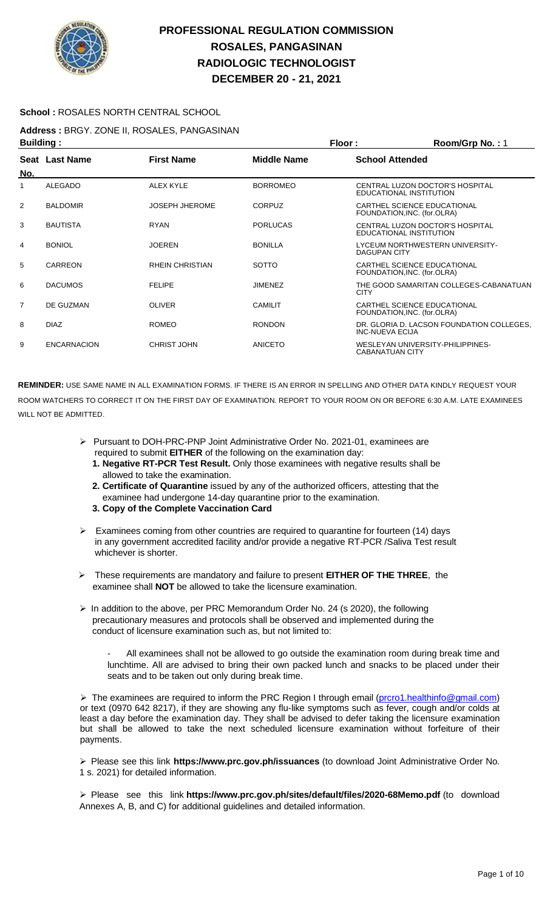

### **School :** ROSALES NORTH CENTRAL SCHOOL

**Address :** BRGY. ZONE II, ROSALES, PANGASINAN **Building : Floor : Room/Grp No. :** 1

|                | .                  |                        |                    | .                                                                   |
|----------------|--------------------|------------------------|--------------------|---------------------------------------------------------------------|
| No.            | Seat Last Name     | <b>First Name</b>      | <b>Middle Name</b> | <b>School Attended</b>                                              |
| 1              | <b>ALEGADO</b>     | <b>ALEX KYLE</b>       | <b>BORROMEO</b>    | CENTRAL LUZON DOCTOR'S HOSPITAL<br>EDUCATIONAL INSTITUTION          |
| 2              | <b>BALDOMIR</b>    | <b>JOSEPH JHEROME</b>  | <b>CORPUZ</b>      | CARTHEL SCIENCE EDUCATIONAL<br>FOUNDATION, INC. (for.OLRA)          |
| 3              | <b>BAUTISTA</b>    | <b>RYAN</b>            | <b>PORLUCAS</b>    | CENTRAL LUZON DOCTOR'S HOSPITAL<br>EDUCATIONAL INSTITUTION          |
| 4              | <b>BONIOL</b>      | <b>JOEREN</b>          | <b>BONILLA</b>     | LYCEUM NORTHWESTERN UNIVERSITY-<br><b>DAGUPAN CITY</b>              |
| 5              | CARREON            | <b>RHEIN CHRISTIAN</b> | <b>SOTTO</b>       | CARTHEL SCIENCE EDUCATIONAL<br>FOUNDATION, INC. (for.OLRA)          |
| 6              | <b>DACUMOS</b>     | <b>FELIPE</b>          | <b>JIMENEZ</b>     | THE GOOD SAMARITAN COLLEGES-CABANATUAN<br><b>CITY</b>               |
| $\overline{7}$ | DE GUZMAN          | <b>OLIVER</b>          | <b>CAMILIT</b>     | CARTHEL SCIENCE EDUCATIONAL<br>FOUNDATION, INC. (for.OLRA)          |
| 8              | <b>DIAZ</b>        | <b>ROMEO</b>           | <b>RONDON</b>      | DR. GLORIA D. LACSON FOUNDATION COLLEGES.<br><b>INC-NUEVA ECIJA</b> |
| 9              | <b>ENCARNACION</b> | <b>CHRIST JOHN</b>     | <b>ANICETO</b>     | WESLEYAN UNIVERSITY-PHILIPPINES-<br>CABANATUAN CITY                 |

**REMINDER:** USE SAME NAME IN ALL EXAMINATION FORMS. IF THERE IS AN ERROR IN SPELLING AND OTHER DATA KINDLY REQUEST YOUR ROOM WATCHERS TO CORRECT IT ON THE FIRST DAY OF EXAMINATION. REPORT TO YOUR ROOM ON OR BEFORE 6:30 A.M. LATE EXAMINEES WILL NOT BE ADMITTED.

- ➢ Pursuant to DOH-PRC-PNP Joint Administrative Order No. 2021-01, examinees are required to submit **EITHER** of the following on the examination day:
	- **1. Negative RT-PCR Test Result.** Only those examinees with negative results shall be allowed to take the examination.
	- **2. Certificate of Quarantine** issued by any of the authorized officers, attesting that the examinee had undergone 14-day quarantine prior to the examination.
	- **3. Copy of the Complete Vaccination Card**
- ➢ Examinees coming from other countries are required to quarantine for fourteen (14) days in any government accredited facility and/or provide a negative RT-PCR /Saliva Test result whichever is shorter.
- ➢ These requirements are mandatory and failure to present **EITHER OF THE THREE**, the examinee shall **NOT** be allowed to take the licensure examination.
- ➢ In addition to the above, per PRC Memorandum Order No. 24 (s 2020), the following precautionary measures and protocols shall be observed and implemented during the conduct of licensure examination such as, but not limited to:

All examinees shall not be allowed to go outside the examination room during break time and lunchtime. All are advised to bring their own packed lunch and snacks to be placed under their seats and to be taken out only during break time.

➢ The examinees are required to inform the PRC Region I through email [\(prcro1.healthinfo@gmail.com\)](mailto:prcro1.healthinfo@gmail.com) or text (0970 642 8217), if they are showing any flu-like symptoms such as fever, cough and/or colds at least a day before the examination day. They shall be advised to defer taking the licensure examination but shall be allowed to take the next scheduled licensure examination without forfeiture of their payments.

➢ Please see this link **https://www.prc.gov.ph/issuances** (to download Joint Administrative Order No. 1 s. 2021) for detailed information.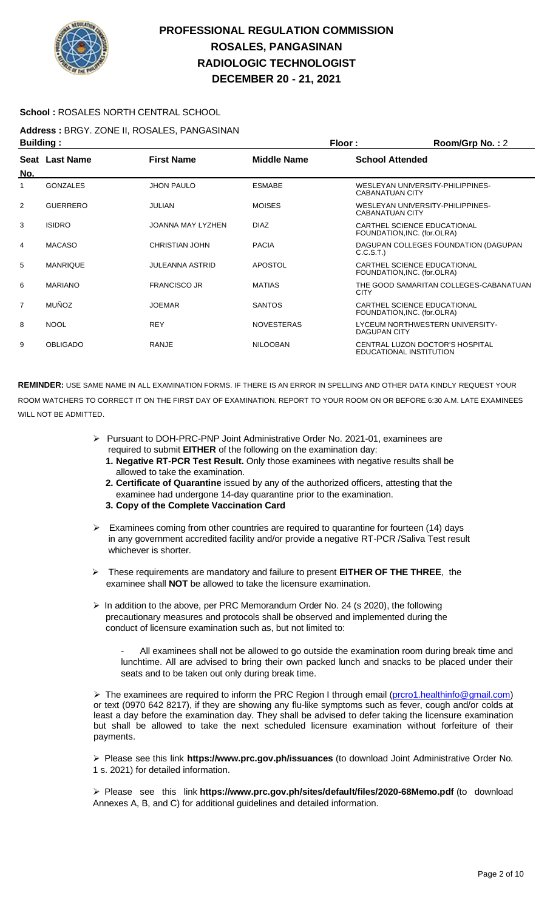

### **School :** ROSALES NORTH CENTRAL SCHOOL

**Address :** BRGY. ZONE II, ROSALES, PANGASINAN **Building : Floor : Room/Grp No. :** 2

| sananig i      |                 |                          | .                  |                                                            |
|----------------|-----------------|--------------------------|--------------------|------------------------------------------------------------|
| No.            | Seat Last Name  | <b>First Name</b>        | <b>Middle Name</b> | <b>School Attended</b>                                     |
| 1              | <b>GONZALES</b> | <b>JHON PAULO</b>        | <b>ESMABE</b>      | WESLEYAN UNIVERSITY-PHILIPPINES-<br><b>CABANATUAN CITY</b> |
| 2              | <b>GUERRERO</b> | JULIAN                   | <b>MOISES</b>      | WESLEYAN UNIVERSITY-PHILIPPINES-<br><b>CABANATUAN CITY</b> |
| 3              | <b>ISIDRO</b>   | <b>JOANNA MAY LYZHEN</b> | <b>DIAZ</b>        | CARTHEL SCIENCE EDUCATIONAL<br>FOUNDATION, INC. (for.OLRA) |
| 4              | <b>MACASO</b>   | <b>CHRISTIAN JOHN</b>    | <b>PACIA</b>       | DAGUPAN COLLEGES FOUNDATION (DAGUPAN<br>C.C.S.T.           |
| 5              | <b>MANRIQUE</b> | JULEANNA ASTRID          | <b>APOSTOL</b>     | CARTHEL SCIENCE EDUCATIONAL<br>FOUNDATION, INC. (for.OLRA) |
| 6              | <b>MARIANO</b>  | <b>FRANCISCO JR</b>      | <b>MATIAS</b>      | THE GOOD SAMARITAN COLLEGES-CABANATUAN<br><b>CITY</b>      |
| $\overline{7}$ | <b>MUÑOZ</b>    | <b>JOEMAR</b>            | <b>SANTOS</b>      | CARTHEL SCIENCE EDUCATIONAL<br>FOUNDATION, INC. (for.OLRA) |
| 8              | <b>NOOL</b>     | <b>REY</b>               | <b>NOVESTERAS</b>  | LYCEUM NORTHWESTERN UNIVERSITY-<br>DAGUPAN CITY            |
| 9              | <b>OBLIGADO</b> | <b>RANJE</b>             | <b>NILOOBAN</b>    | CENTRAL LUZON DOCTOR'S HOSPITAL<br>EDUCATIONAL INSTITUTION |

**REMINDER:** USE SAME NAME IN ALL EXAMINATION FORMS. IF THERE IS AN ERROR IN SPELLING AND OTHER DATA KINDLY REQUEST YOUR ROOM WATCHERS TO CORRECT IT ON THE FIRST DAY OF EXAMINATION. REPORT TO YOUR ROOM ON OR BEFORE 6:30 A.M. LATE EXAMINEES WILL NOT BE ADMITTED.

- ➢ Pursuant to DOH-PRC-PNP Joint Administrative Order No. 2021-01, examinees are required to submit **EITHER** of the following on the examination day:
	- **1. Negative RT-PCR Test Result.** Only those examinees with negative results shall be allowed to take the examination.
	- **2. Certificate of Quarantine** issued by any of the authorized officers, attesting that the examinee had undergone 14-day quarantine prior to the examination.
	- **3. Copy of the Complete Vaccination Card**
- ➢ Examinees coming from other countries are required to quarantine for fourteen (14) days in any government accredited facility and/or provide a negative RT-PCR /Saliva Test result whichever is shorter.
- ➢ These requirements are mandatory and failure to present **EITHER OF THE THREE**, the examinee shall **NOT** be allowed to take the licensure examination.
- $\triangleright$  In addition to the above, per PRC Memorandum Order No. 24 (s 2020), the following precautionary measures and protocols shall be observed and implemented during the conduct of licensure examination such as, but not limited to:

All examinees shall not be allowed to go outside the examination room during break time and lunchtime. All are advised to bring their own packed lunch and snacks to be placed under their seats and to be taken out only during break time.

➢ The examinees are required to inform the PRC Region I through email [\(prcro1.healthinfo@gmail.com\)](mailto:prcro1.healthinfo@gmail.com) or text (0970 642 8217), if they are showing any flu-like symptoms such as fever, cough and/or colds at least a day before the examination day. They shall be advised to defer taking the licensure examination but shall be allowed to take the next scheduled licensure examination without forfeiture of their payments.

➢ Please see this link **https://www.prc.gov.ph/issuances** (to download Joint Administrative Order No. 1 s. 2021) for detailed information.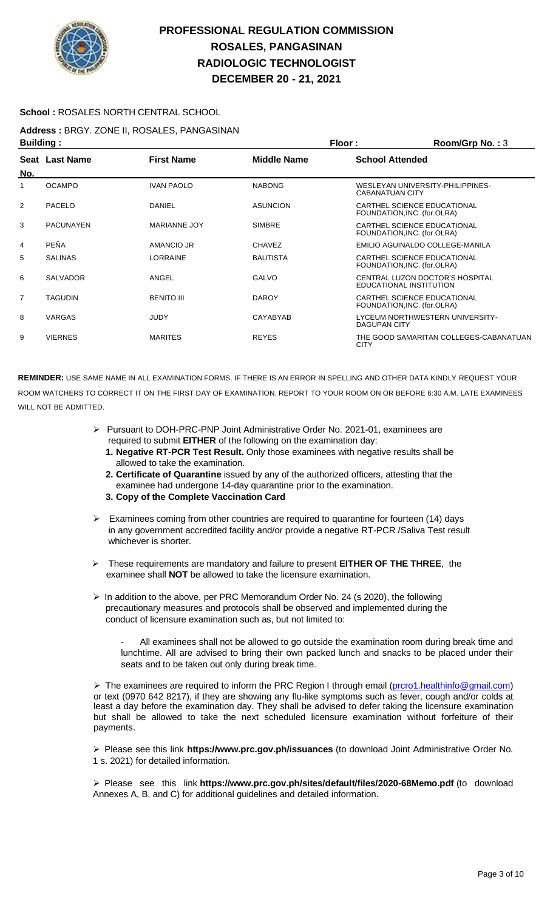

### **School :** ROSALES NORTH CENTRAL SCHOOL

**Address :** BRGY. ZONE II, ROSALES, PANGASINAN

| <b>Building:</b> |                  |                     | <b>Floor:</b>      | Room/Grp No.: $3$                                          |
|------------------|------------------|---------------------|--------------------|------------------------------------------------------------|
| No.              | Seat Last Name   | <b>First Name</b>   | <b>Middle Name</b> | <b>School Attended</b>                                     |
| 1                | <b>OCAMPO</b>    | <b>IVAN PAOLO</b>   | <b>NABONG</b>      | WESLEYAN UNIVERSITY-PHILIPPINES-<br><b>CABANATUAN CITY</b> |
| $\overline{2}$   | <b>PACELO</b>    | <b>DANIEL</b>       | <b>ASUNCION</b>    | CARTHEL SCIENCE EDUCATIONAL<br>FOUNDATION, INC. (for.OLRA) |
| 3                | <b>PACUNAYEN</b> | <b>MARIANNE JOY</b> | <b>SIMBRE</b>      | CARTHEL SCIENCE EDUCATIONAL<br>FOUNDATION, INC. (for.OLRA) |
| 4                | PEÑA             | AMANCIO JR          | <b>CHAVEZ</b>      | EMILIO AGUINALDO COLLEGE-MANILA                            |
| 5                | <b>SALINAS</b>   | <b>LORRAINE</b>     | <b>BAUTISTA</b>    | CARTHEL SCIENCE EDUCATIONAL<br>FOUNDATION, INC. (for.OLRA) |
| 6                | <b>SALVADOR</b>  | ANGEL               | <b>GALVO</b>       | CENTRAL LUZON DOCTOR'S HOSPITAL<br>EDUCATIONAL INSTITUTION |
| $\overline{7}$   | <b>TAGUDIN</b>   | <b>BENITO III</b>   | <b>DAROY</b>       | CARTHEL SCIENCE EDUCATIONAL<br>FOUNDATION, INC. (for.OLRA) |
| 8                | <b>VARGAS</b>    | <b>JUDY</b>         | CAYABYAB           | LYCEUM NORTHWESTERN UNIVERSITY-<br><b>DAGUPAN CITY</b>     |
| 9                | <b>VIERNES</b>   | <b>MARITES</b>      | <b>REYES</b>       | THE GOOD SAMARITAN COLLEGES-CABANATUAN<br><b>CITY</b>      |

**REMINDER:** USE SAME NAME IN ALL EXAMINATION FORMS. IF THERE IS AN ERROR IN SPELLING AND OTHER DATA KINDLY REQUEST YOUR ROOM WATCHERS TO CORRECT IT ON THE FIRST DAY OF EXAMINATION. REPORT TO YOUR ROOM ON OR BEFORE 6:30 A.M. LATE EXAMINEES WILL NOT BE ADMITTED.

- ➢ Pursuant to DOH-PRC-PNP Joint Administrative Order No. 2021-01, examinees are required to submit **EITHER** of the following on the examination day:
	- **1. Negative RT-PCR Test Result.** Only those examinees with negative results shall be allowed to take the examination.
	- **2. Certificate of Quarantine** issued by any of the authorized officers, attesting that the examinee had undergone 14-day quarantine prior to the examination.
	- **3. Copy of the Complete Vaccination Card**
- Examinees coming from other countries are required to quarantine for fourteen (14) days in any government accredited facility and/or provide a negative RT-PCR /Saliva Test result whichever is shorter.
- ➢ These requirements are mandatory and failure to present **EITHER OF THE THREE**, the examinee shall **NOT** be allowed to take the licensure examination.
- ➢ In addition to the above, per PRC Memorandum Order No. 24 (s 2020), the following precautionary measures and protocols shall be observed and implemented during the conduct of licensure examination such as, but not limited to:
	- All examinees shall not be allowed to go outside the examination room during break time and lunchtime. All are advised to bring their own packed lunch and snacks to be placed under their seats and to be taken out only during break time.

➢ The examinees are required to inform the PRC Region I through email [\(prcro1.healthinfo@gmail.com\)](mailto:prcro1.healthinfo@gmail.com) or text (0970 642 8217), if they are showing any flu-like symptoms such as fever, cough and/or colds at least a day before the examination day. They shall be advised to defer taking the licensure examination but shall be allowed to take the next scheduled licensure examination without forfeiture of their payments.

➢ Please see this link **https://www.prc.gov.ph/issuances** (to download Joint Administrative Order No. 1 s. 2021) for detailed information.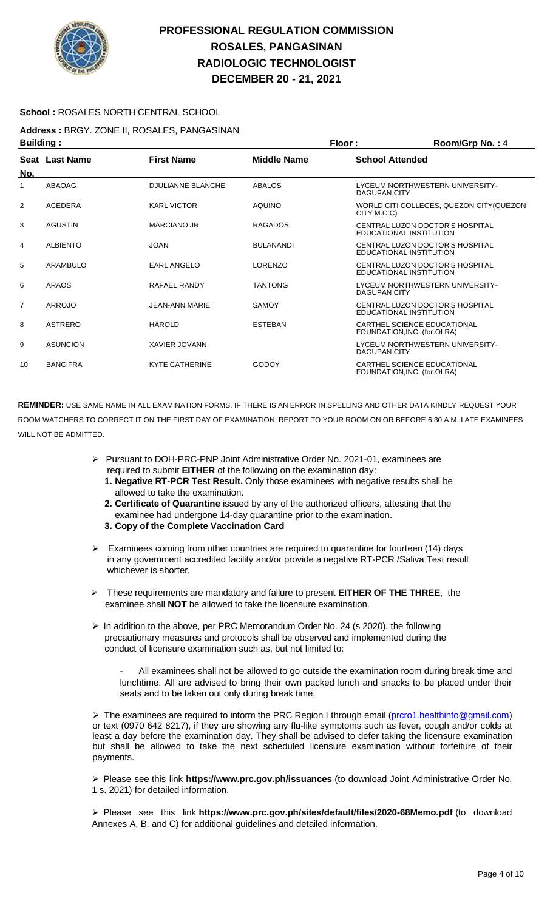

### **School :** ROSALES NORTH CENTRAL SCHOOL

**Address :** BRGY. ZONE II, ROSALES, PANGASINAN **Building : Floor : Room/Grp No. :** 4

| No.            | Seat Last Name  | <b>First Name</b>        | <b>Middle Name</b> | <b>School Attended</b>                                     |  |
|----------------|-----------------|--------------------------|--------------------|------------------------------------------------------------|--|
|                | ABAOAG          | <b>DJULIANNE BLANCHE</b> | <b>ABALOS</b>      | LYCEUM NORTHWESTERN UNIVERSITY-<br><b>DAGUPAN CITY</b>     |  |
| 2              | <b>ACEDERA</b>  | <b>KARL VICTOR</b>       | <b>AQUINO</b>      | WORLD CITI COLLEGES, QUEZON CITY (QUEZON<br>CITY M.C.C)    |  |
| 3              | <b>AGUSTIN</b>  | MARCIANO JR              | <b>RAGADOS</b>     | CENTRAL LUZON DOCTOR'S HOSPITAL<br>EDUCATIONAL INSTITUTION |  |
| 4              | <b>ALBIENTO</b> | <b>JOAN</b>              | <b>BULANANDI</b>   | CENTRAL LUZON DOCTOR'S HOSPITAL<br>EDUCATIONAL INSTITUTION |  |
| 5              | ARAMBULO        | <b>EARL ANGELO</b>       | <b>LORENZO</b>     | CENTRAL LUZON DOCTOR'S HOSPITAL<br>EDUCATIONAL INSTITUTION |  |
| 6              | <b>ARAOS</b>    | RAFAEL RANDY             | <b>TANTONG</b>     | LYCEUM NORTHWESTERN UNIVERSITY-<br><b>DAGUPAN CITY</b>     |  |
| $\overline{7}$ | <b>ARROJO</b>   | <b>JEAN-ANN MARIE</b>    | <b>SAMOY</b>       | CENTRAL LUZON DOCTOR'S HOSPITAL<br>EDUCATIONAL INSTITUTION |  |
| 8              | <b>ASTRERO</b>  | <b>HAROLD</b>            | <b>ESTEBAN</b>     | CARTHEL SCIENCE EDUCATIONAL<br>FOUNDATION, INC. (for.OLRA) |  |
| 9              | <b>ASUNCION</b> | <b>XAVIER JOVANN</b>     |                    | LYCEUM NORTHWESTERN UNIVERSITY-<br><b>DAGUPAN CITY</b>     |  |
| 10             | <b>BANCIFRA</b> | <b>KYTE CATHERINE</b>    | <b>GODOY</b>       | CARTHEL SCIENCE EDUCATIONAL<br>FOUNDATION, INC. (for.OLRA) |  |

**REMINDER:** USE SAME NAME IN ALL EXAMINATION FORMS. IF THERE IS AN ERROR IN SPELLING AND OTHER DATA KINDLY REQUEST YOUR ROOM WATCHERS TO CORRECT IT ON THE FIRST DAY OF EXAMINATION. REPORT TO YOUR ROOM ON OR BEFORE 6:30 A.M. LATE EXAMINEES WILL NOT BE ADMITTED.

- ➢ Pursuant to DOH-PRC-PNP Joint Administrative Order No. 2021-01, examinees are required to submit **EITHER** of the following on the examination day:
	- **1. Negative RT-PCR Test Result.** Only those examinees with negative results shall be allowed to take the examination.
	- **2. Certificate of Quarantine** issued by any of the authorized officers, attesting that the examinee had undergone 14-day quarantine prior to the examination.
	- **3. Copy of the Complete Vaccination Card**
- ➢ Examinees coming from other countries are required to quarantine for fourteen (14) days in any government accredited facility and/or provide a negative RT-PCR /Saliva Test result whichever is shorter.
- ➢ These requirements are mandatory and failure to present **EITHER OF THE THREE**, the examinee shall **NOT** be allowed to take the licensure examination.
- ➢ In addition to the above, per PRC Memorandum Order No. 24 (s 2020), the following precautionary measures and protocols shall be observed and implemented during the conduct of licensure examination such as, but not limited to:

All examinees shall not be allowed to go outside the examination room during break time and lunchtime. All are advised to bring their own packed lunch and snacks to be placed under their seats and to be taken out only during break time.

➢ The examinees are required to inform the PRC Region I through email [\(prcro1.healthinfo@gmail.com\)](mailto:prcro1.healthinfo@gmail.com) or text (0970 642 8217), if they are showing any flu-like symptoms such as fever, cough and/or colds at least a day before the examination day. They shall be advised to defer taking the licensure examination but shall be allowed to take the next scheduled licensure examination without forfeiture of their payments.

➢ Please see this link **https://www.prc.gov.ph/issuances** (to download Joint Administrative Order No. 1 s. 2021) for detailed information.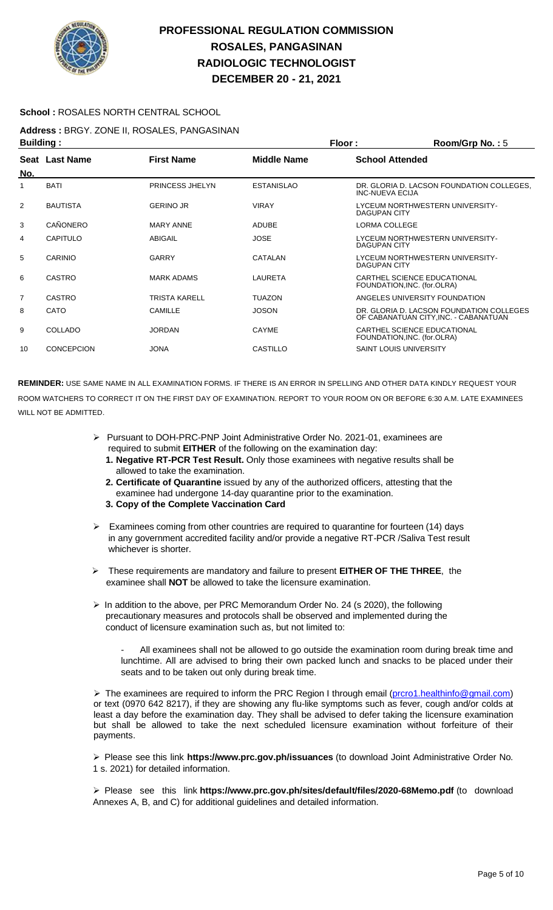

### **School :** ROSALES NORTH CENTRAL SCHOOL

**Address :** BRGY. ZONE II, ROSALES, PANGASINAN **Building : Floor : Room/Grp No. :** 5

|     |                 |                   |                    | .                                                                                 |  |
|-----|-----------------|-------------------|--------------------|-----------------------------------------------------------------------------------|--|
| No. | Seat Last Name  | <b>First Name</b> | <b>Middle Name</b> | <b>School Attended</b>                                                            |  |
| 1   | <b>BATI</b>     | PRINCESS JHELYN   | <b>ESTANISLAO</b>  | DR. GLORIA D. LACSON FOUNDATION COLLEGES.<br><b>INC-NUEVA ECIJA</b>               |  |
| 2   | <b>BAUTISTA</b> | <b>GERINO JR</b>  | <b>VIRAY</b>       | LYCEUM NORTHWESTERN UNIVERSITY-<br>DAGUPAN CITY                                   |  |
| 3   | CAÑONERO        | <b>MARY ANNE</b>  | <b>ADUBE</b>       | LORMA COLLEGE                                                                     |  |
| 4   | CAPITULO        | ABIGAIL           | <b>JOSE</b>        | LYCEUM NORTHWESTERN UNIVERSITY-<br>DAGUPAN CITY                                   |  |
| 5   | <b>CARINIO</b>  | <b>GARRY</b>      | CATALAN            | LYCEUM NORTHWESTERN UNIVERSITY-<br><b>DAGUPAN CITY</b>                            |  |
| 6   | <b>CASTRO</b>   | <b>MARK ADAMS</b> | <b>LAURETA</b>     | CARTHEL SCIENCE EDUCATIONAL<br>FOUNDATION, INC. (for.OLRA)                        |  |
| 7   | <b>CASTRO</b>   | TRISTA KARELL     | <b>TUAZON</b>      | ANGELES UNIVERSITY FOUNDATION                                                     |  |
| 8   | CATO            | <b>CAMILLE</b>    | <b>JOSON</b>       | DR. GLORIA D. LACSON FOUNDATION COLLEGES<br>OF CABANATUAN CITY, INC. - CABANATUAN |  |
| 9   | <b>COLLADO</b>  | <b>JORDAN</b>     | CAYME              | CARTHEL SCIENCE EDUCATIONAL<br>FOUNDATION, INC. (for.OLRA)                        |  |
| 10  | CONCEPCION      | <b>JONA</b>       | CASTILLO           | <b>SAINT LOUIS UNIVERSITY</b>                                                     |  |

**REMINDER:** USE SAME NAME IN ALL EXAMINATION FORMS. IF THERE IS AN ERROR IN SPELLING AND OTHER DATA KINDLY REQUEST YOUR ROOM WATCHERS TO CORRECT IT ON THE FIRST DAY OF EXAMINATION. REPORT TO YOUR ROOM ON OR BEFORE 6:30 A.M. LATE EXAMINEES WILL NOT BE ADMITTED.

- ➢ Pursuant to DOH-PRC-PNP Joint Administrative Order No. 2021-01, examinees are required to submit **EITHER** of the following on the examination day:
	- **1. Negative RT-PCR Test Result.** Only those examinees with negative results shall be allowed to take the examination.
	- **2. Certificate of Quarantine** issued by any of the authorized officers, attesting that the examinee had undergone 14-day quarantine prior to the examination.
	- **3. Copy of the Complete Vaccination Card**
- ➢ Examinees coming from other countries are required to quarantine for fourteen (14) days in any government accredited facility and/or provide a negative RT-PCR /Saliva Test result whichever is shorter.
- ➢ These requirements are mandatory and failure to present **EITHER OF THE THREE**, the examinee shall **NOT** be allowed to take the licensure examination.
- ➢ In addition to the above, per PRC Memorandum Order No. 24 (s 2020), the following precautionary measures and protocols shall be observed and implemented during the conduct of licensure examination such as, but not limited to:

All examinees shall not be allowed to go outside the examination room during break time and lunchtime. All are advised to bring their own packed lunch and snacks to be placed under their seats and to be taken out only during break time.

> The examinees are required to inform the PRC Region I through email (proro1.healthinfo@gmail.com) or text (0970 642 8217), if they are showing any flu-like symptoms such as fever, cough and/or colds at least a day before the examination day. They shall be advised to defer taking the licensure examination but shall be allowed to take the next scheduled licensure examination without forfeiture of their payments.

➢ Please see this link **https://www.prc.gov.ph/issuances** (to download Joint Administrative Order No. 1 s. 2021) for detailed information.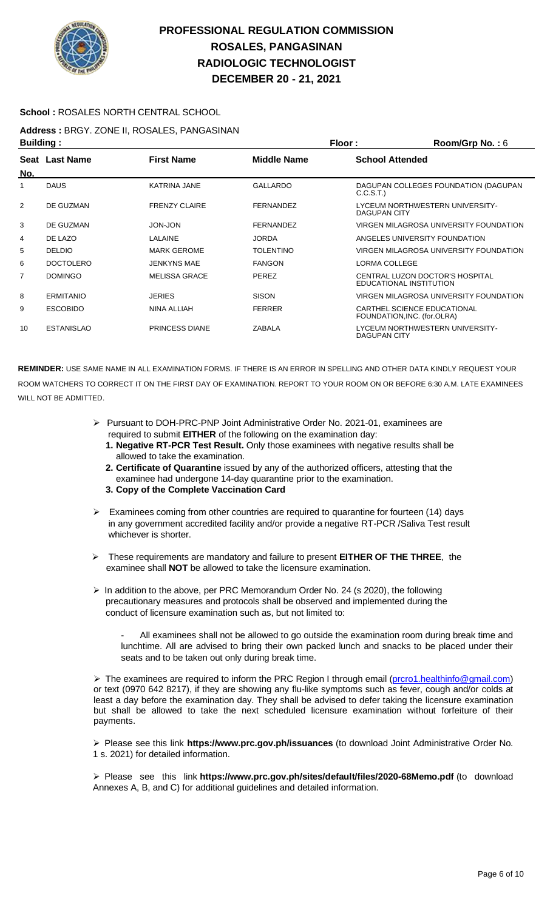

### **School :** ROSALES NORTH CENTRAL SCHOOL

**Address :** BRGY. ZONE II, ROSALES, PANGASINAN

| <b>Building:</b> |                   |                       |                    | Floor:                 | Room/Grp No.: 6                                            |
|------------------|-------------------|-----------------------|--------------------|------------------------|------------------------------------------------------------|
| No.              | Seat Last Name    | <b>First Name</b>     | <b>Middle Name</b> | <b>School Attended</b> |                                                            |
|                  | <b>DAUS</b>       | <b>KATRINA JANE</b>   | <b>GALLARDO</b>    | C.C.S.T.)              | DAGUPAN COLLEGES FOUNDATION (DAGUPAN                       |
| $\overline{2}$   | DE GUZMAN         | <b>FRENZY CLAIRE</b>  | <b>FERNANDEZ</b>   | <b>DAGUPAN CITY</b>    | LYCEUM NORTHWESTERN UNIVERSITY-                            |
| 3                | DE GUZMAN         | <b>JON-JON</b>        | <b>FERNANDEZ</b>   |                        | VIRGEN MILAGROSA UNIVERSITY FOUNDATION                     |
| 4                | DE LAZO           | LALAINE               | <b>JORDA</b>       |                        | ANGELES UNIVERSITY FOUNDATION                              |
| 5                | <b>DELDIO</b>     | <b>MARK GEROME</b>    | <b>TOLENTINO</b>   |                        | VIRGEN MILAGROSA UNIVERSITY FOUNDATION                     |
| 6                | <b>DOCTOLERO</b>  | <b>JENKYNS MAE</b>    | <b>FANGON</b>      | LORMA COLLEGE          |                                                            |
| 7                | <b>DOMINGO</b>    | <b>MELISSA GRACE</b>  | <b>PEREZ</b>       |                        | CENTRAL LUZON DOCTOR'S HOSPITAL<br>EDUCATIONAL INSTITUTION |
| 8                | <b>ERMITANIO</b>  | <b>JERIES</b>         | <b>SISON</b>       |                        | VIRGEN MILAGROSA UNIVERSITY FOUNDATION                     |
| 9                | <b>ESCOBIDO</b>   | NINA ALLIAH           | <b>FERRER</b>      |                        | CARTHEL SCIENCE EDUCATIONAL<br>FOUNDATION, INC. (for.OLRA) |
| 10               | <b>ESTANISLAO</b> | <b>PRINCESS DIANE</b> | ZABALA             | DAGUPAN CITY           | LYCEUM NORTHWESTERN UNIVERSITY-                            |

**REMINDER:** USE SAME NAME IN ALL EXAMINATION FORMS. IF THERE IS AN ERROR IN SPELLING AND OTHER DATA KINDLY REQUEST YOUR ROOM WATCHERS TO CORRECT IT ON THE FIRST DAY OF EXAMINATION. REPORT TO YOUR ROOM ON OR BEFORE 6:30 A.M. LATE EXAMINEES WILL NOT BE ADMITTED.

- ➢ Pursuant to DOH-PRC-PNP Joint Administrative Order No. 2021-01, examinees are required to submit **EITHER** of the following on the examination day:
	- **1. Negative RT-PCR Test Result.** Only those examinees with negative results shall be allowed to take the examination.
	- **2. Certificate of Quarantine** issued by any of the authorized officers, attesting that the examinee had undergone 14-day quarantine prior to the examination.
	- **3. Copy of the Complete Vaccination Card**
- $\triangleright$  Examinees coming from other countries are required to quarantine for fourteen (14) days in any government accredited facility and/or provide a negative RT-PCR /Saliva Test result whichever is shorter.
- ➢ These requirements are mandatory and failure to present **EITHER OF THE THREE**, the examinee shall **NOT** be allowed to take the licensure examination.
- ➢ In addition to the above, per PRC Memorandum Order No. 24 (s 2020), the following precautionary measures and protocols shall be observed and implemented during the conduct of licensure examination such as, but not limited to:
	- All examinees shall not be allowed to go outside the examination room during break time and lunchtime. All are advised to bring their own packed lunch and snacks to be placed under their seats and to be taken out only during break time.

▶ The examinees are required to inform the PRC Region I through email [\(prcro1.healthinfo@gmail.com\)](mailto:prcro1.healthinfo@gmail.com) or text (0970 642 8217), if they are showing any flu-like symptoms such as fever, cough and/or colds at least a day before the examination day. They shall be advised to defer taking the licensure examination but shall be allowed to take the next scheduled licensure examination without forfeiture of their payments.

➢ Please see this link **https://www.prc.gov.ph/issuances** (to download Joint Administrative Order No. 1 s. 2021) for detailed information.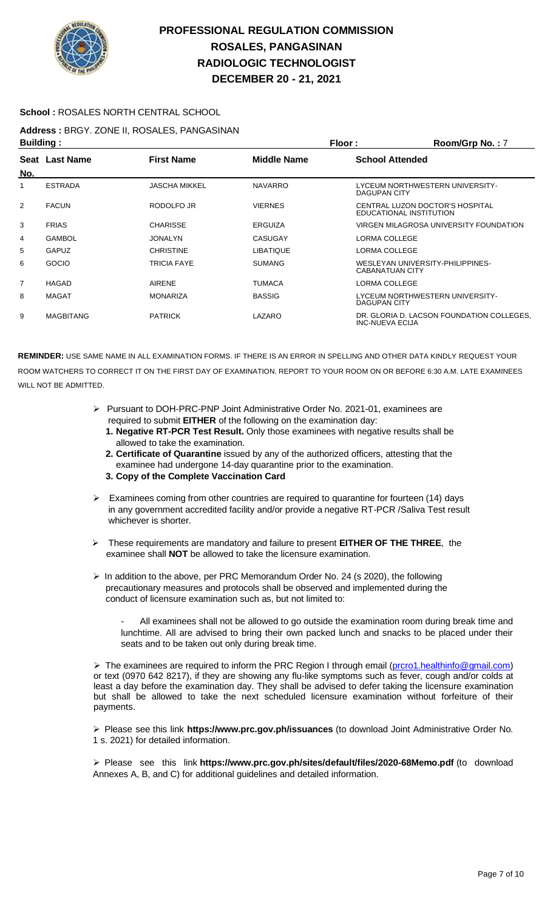

### **School :** ROSALES NORTH CENTRAL SCHOOL

**Address :** BRGY. ZONE II, ROSALES, PANGASINAN **Building : Floor : Room/Grp No. :** 7

| ринингу .      |                  |                    | .                  |                                                              |  |
|----------------|------------------|--------------------|--------------------|--------------------------------------------------------------|--|
| No.            | Seat Last Name   | <b>First Name</b>  | <b>Middle Name</b> | <b>School Attended</b>                                       |  |
| 1              | <b>ESTRADA</b>   | JASCHA MIKKEL      | <b>NAVARRO</b>     | LYCEUM NORTHWESTERN UNIVERSITY-<br>DAGUPAN CITY              |  |
| 2              | <b>FACUN</b>     | RODOLFO JR         | <b>VIERNES</b>     | CENTRAL LUZON DOCTOR'S HOSPITAL<br>EDUCATIONAL INSTITUTION   |  |
| 3              | <b>FRIAS</b>     | <b>CHARISSE</b>    | <b>ERGUIZA</b>     | VIRGEN MILAGROSA UNIVERSITY FOUNDATION                       |  |
| 4              | <b>GAMBOL</b>    | <b>JONALYN</b>     | <b>CASUGAY</b>     | LORMA COLLEGE                                                |  |
| 5              | <b>GAPUZ</b>     | <b>CHRISTINE</b>   | <b>LIBATIQUE</b>   | LORMA COLLEGE                                                |  |
| 6              | GOCIO            | <b>TRICIA FAYE</b> | <b>SUMANG</b>      | WESLEYAN UNIVERSITY-PHILIPPINES-<br><b>CABANATUAN CITY</b>   |  |
| $\overline{7}$ | HAGAD            | <b>AIRENE</b>      | <b>TUMACA</b>      | LORMA COLLEGE                                                |  |
| 8              | <b>MAGAT</b>     | <b>MONARIZA</b>    | <b>BASSIG</b>      | LYCEUM NORTHWESTERN UNIVERSITY-<br><b>DAGUPAN CITY</b>       |  |
| 9              | <b>MAGBITANG</b> | <b>PATRICK</b>     | LAZARO             | DR. GLORIA D. LACSON FOUNDATION COLLEGES.<br>INC-NUEVA ECIJA |  |

**REMINDER:** USE SAME NAME IN ALL EXAMINATION FORMS. IF THERE IS AN ERROR IN SPELLING AND OTHER DATA KINDLY REQUEST YOUR ROOM WATCHERS TO CORRECT IT ON THE FIRST DAY OF EXAMINATION. REPORT TO YOUR ROOM ON OR BEFORE 6:30 A.M. LATE EXAMINEES WILL NOT BE ADMITTED.

- ➢ Pursuant to DOH-PRC-PNP Joint Administrative Order No. 2021-01, examinees are required to submit **EITHER** of the following on the examination day:
	- **1. Negative RT-PCR Test Result.** Only those examinees with negative results shall be allowed to take the examination.
	- **2. Certificate of Quarantine** issued by any of the authorized officers, attesting that the examinee had undergone 14-day quarantine prior to the examination.
	- **3. Copy of the Complete Vaccination Card**
- ➢ Examinees coming from other countries are required to quarantine for fourteen (14) days in any government accredited facility and/or provide a negative RT-PCR /Saliva Test result whichever is shorter.
- ➢ These requirements are mandatory and failure to present **EITHER OF THE THREE**, the examinee shall **NOT** be allowed to take the licensure examination.
- $\triangleright$  In addition to the above, per PRC Memorandum Order No. 24 (s 2020), the following precautionary measures and protocols shall be observed and implemented during the conduct of licensure examination such as, but not limited to:
	- All examinees shall not be allowed to go outside the examination room during break time and lunchtime. All are advised to bring their own packed lunch and snacks to be placed under their seats and to be taken out only during break time.

▶ The examinees are required to inform the PRC Region I through email [\(prcro1.healthinfo@gmail.com\)](mailto:prcro1.healthinfo@gmail.com) or text (0970 642 8217), if they are showing any flu-like symptoms such as fever, cough and/or colds at least a day before the examination day. They shall be advised to defer taking the licensure examination but shall be allowed to take the next scheduled licensure examination without forfeiture of their payments.

➢ Please see this link **https://www.prc.gov.ph/issuances** (to download Joint Administrative Order No. 1 s. 2021) for detailed information.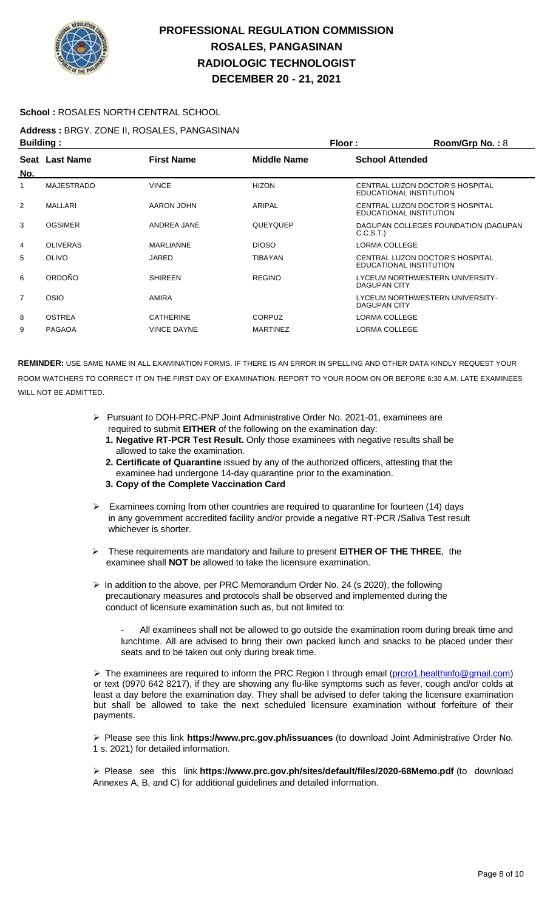

### **School :** ROSALES NORTH CENTRAL SCHOOL

**Address :** BRGY. ZONE II, ROSALES, PANGASINAN

| <b>Building:</b> |                   |                    | Floor:             | Room/Grp No.: 8                                            |
|------------------|-------------------|--------------------|--------------------|------------------------------------------------------------|
| No.              | Seat Last Name    | <b>First Name</b>  | <b>Middle Name</b> | <b>School Attended</b>                                     |
|                  | <b>MAJESTRADO</b> | <b>VINCE</b>       | <b>HIZON</b>       | CENTRAL LUZON DOCTOR'S HOSPITAL<br>EDUCATIONAL INSTITUTION |
| 2                | MALLARI           | AARON JOHN         | ARIPAL             | CENTRAL LUZON DOCTOR'S HOSPITAL<br>EDUCATIONAL INSTITUTION |
| 3                | <b>OGSIMER</b>    | ANDREA JANE        | QUEYQUEP           | DAGUPAN COLLEGES FOUNDATION (DAGUPAN<br>C.C.S.T.           |
| 4                | <b>OLIVERAS</b>   | <b>MARLIANNE</b>   | <b>DIOSO</b>       | LORMA COLLEGE                                              |
| 5                | OLIVO             | JARED              | <b>TIBAYAN</b>     | CENTRAL LUZON DOCTOR'S HOSPITAL<br>EDUCATIONAL INSTITUTION |
| 6                | ORDOÑO            | <b>SHIREEN</b>     | <b>REGINO</b>      | LYCEUM NORTHWESTERN UNIVERSITY-<br><b>DAGUPAN CITY</b>     |
| $\overline{7}$   | <b>OSIO</b>       | <b>AMIRA</b>       |                    | LYCEUM NORTHWESTERN UNIVERSITY-<br><b>DAGUPAN CITY</b>     |
| 8                | <b>OSTREA</b>     | <b>CATHERINE</b>   | <b>CORPUZ</b>      | LORMA COLLEGE                                              |
| 9                | <b>PAGAOA</b>     | <b>VINCE DAYNE</b> | <b>MARTINEZ</b>    | LORMA COLLEGE                                              |

**REMINDER:** USE SAME NAME IN ALL EXAMINATION FORMS. IF THERE IS AN ERROR IN SPELLING AND OTHER DATA KINDLY REQUEST YOUR ROOM WATCHERS TO CORRECT IT ON THE FIRST DAY OF EXAMINATION. REPORT TO YOUR ROOM ON OR BEFORE 6:30 A.M. LATE EXAMINEES WILL NOT BE ADMITTED.

- ➢ Pursuant to DOH-PRC-PNP Joint Administrative Order No. 2021-01, examinees are required to submit **EITHER** of the following on the examination day:
	- **1. Negative RT-PCR Test Result.** Only those examinees with negative results shall be allowed to take the examination.
	- **2. Certificate of Quarantine** issued by any of the authorized officers, attesting that the examinee had undergone 14-day quarantine prior to the examination.
	- **3. Copy of the Complete Vaccination Card**
- Examinees coming from other countries are required to quarantine for fourteen (14) days in any government accredited facility and/or provide a negative RT-PCR /Saliva Test result whichever is shorter.
- ➢ These requirements are mandatory and failure to present **EITHER OF THE THREE**, the examinee shall **NOT** be allowed to take the licensure examination.
- ➢ In addition to the above, per PRC Memorandum Order No. 24 (s 2020), the following precautionary measures and protocols shall be observed and implemented during the conduct of licensure examination such as, but not limited to:

All examinees shall not be allowed to go outside the examination room during break time and lunchtime. All are advised to bring their own packed lunch and snacks to be placed under their seats and to be taken out only during break time.

➢ The examinees are required to inform the PRC Region I through email [\(prcro1.healthinfo@gmail.com\)](mailto:prcro1.healthinfo@gmail.com) or text (0970 642 8217), if they are showing any flu-like symptoms such as fever, cough and/or colds at least a day before the examination day. They shall be advised to defer taking the licensure examination but shall be allowed to take the next scheduled licensure examination without forfeiture of their payments.

➢ Please see this link **https://www.prc.gov.ph/issuances** (to download Joint Administrative Order No. 1 s. 2021) for detailed information.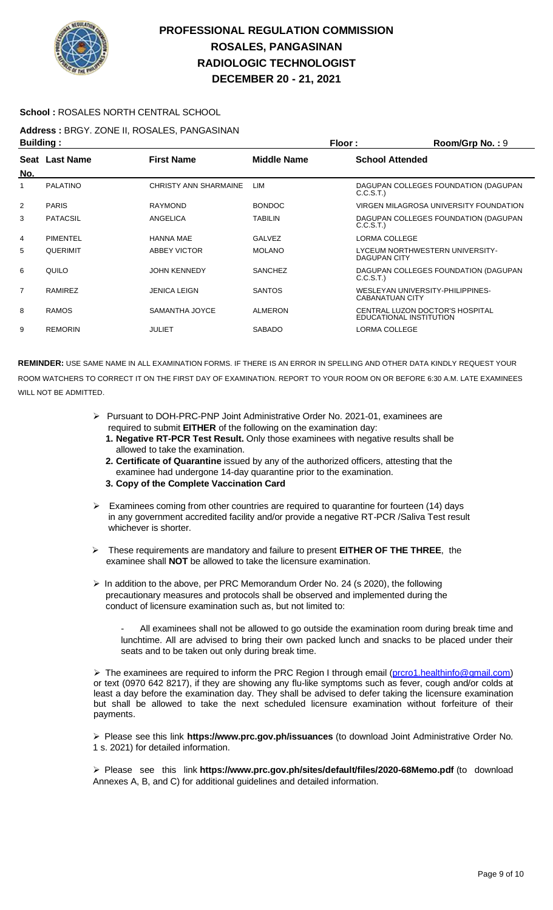

### **School :** ROSALES NORTH CENTRAL SCHOOL

#### **Address :** BRGY. ZONE II, ROSALES, PANGASINAN **Building : Floor : Room/Grp No. :** 9

| Pananny .      |                       |                       | .                  |                                                            |
|----------------|-----------------------|-----------------------|--------------------|------------------------------------------------------------|
| No.            | <b>Seat Last Name</b> | <b>First Name</b>     | <b>Middle Name</b> | <b>School Attended</b>                                     |
| 1              | <b>PALATINO</b>       | CHRISTY ANN SHARMAINE | LIM                | DAGUPAN COLLEGES FOUNDATION (DAGUPAN<br>C.C.S.T.)          |
| 2              | <b>PARIS</b>          | <b>RAYMOND</b>        | <b>BONDOC</b>      | VIRGEN MILAGROSA UNIVERSITY FOUNDATION                     |
| 3              | <b>PATACSIL</b>       | <b>ANGELICA</b>       | <b>TABILIN</b>     | DAGUPAN COLLEGES FOUNDATION (DAGUPAN<br>C.C.S.T.)          |
| 4              | <b>PIMENTEL</b>       | <b>HANNA MAE</b>      | <b>GALVEZ</b>      | LORMA COLLEGE                                              |
| 5              | <b>QUERIMIT</b>       | ABBEY VICTOR          | <b>MOLANO</b>      | LYCEUM NORTHWESTERN UNIVERSITY-<br><b>DAGUPAN CITY</b>     |
| 6              | QUILO                 | <b>JOHN KENNEDY</b>   | <b>SANCHEZ</b>     | DAGUPAN COLLEGES FOUNDATION (DAGUPAN<br>C.C.S.T.)          |
| $\overline{7}$ | <b>RAMIREZ</b>        | <b>JENICA LEIGN</b>   | <b>SANTOS</b>      | WESLEYAN UNIVERSITY-PHILIPPINES-<br><b>CABANATUAN CITY</b> |
| 8              | <b>RAMOS</b>          | SAMANTHA JOYCE        | <b>ALMERON</b>     | CENTRAL LUZON DOCTOR'S HOSPITAL<br>EDUCATIONAL INSTITUTION |
| 9              | <b>REMORIN</b>        | JULIET                | <b>SABADO</b>      | LORMA COLLEGE                                              |
|                |                       |                       |                    |                                                            |

**REMINDER:** USE SAME NAME IN ALL EXAMINATION FORMS. IF THERE IS AN ERROR IN SPELLING AND OTHER DATA KINDLY REQUEST YOUR ROOM WATCHERS TO CORRECT IT ON THE FIRST DAY OF EXAMINATION. REPORT TO YOUR ROOM ON OR BEFORE 6:30 A.M. LATE EXAMINEES WILL NOT BE ADMITTED.

- ➢ Pursuant to DOH-PRC-PNP Joint Administrative Order No. 2021-01, examinees are required to submit **EITHER** of the following on the examination day:
	- **1. Negative RT-PCR Test Result.** Only those examinees with negative results shall be allowed to take the examination.
	- **2. Certificate of Quarantine** issued by any of the authorized officers, attesting that the examinee had undergone 14-day quarantine prior to the examination.
	- **3. Copy of the Complete Vaccination Card**
- $\triangleright$  Examinees coming from other countries are required to quarantine for fourteen (14) days in any government accredited facility and/or provide a negative RT-PCR /Saliva Test result whichever is shorter.
- ➢ These requirements are mandatory and failure to present **EITHER OF THE THREE**, the examinee shall **NOT** be allowed to take the licensure examination.
- ➢ In addition to the above, per PRC Memorandum Order No. 24 (s 2020), the following precautionary measures and protocols shall be observed and implemented during the conduct of licensure examination such as, but not limited to:

All examinees shall not be allowed to go outside the examination room during break time and lunchtime. All are advised to bring their own packed lunch and snacks to be placed under their seats and to be taken out only during break time.

▶ The examinees are required to inform the PRC Region I through email [\(prcro1.healthinfo@gmail.com\)](mailto:prcro1.healthinfo@gmail.com) or text (0970 642 8217), if they are showing any flu-like symptoms such as fever, cough and/or colds at least a day before the examination day. They shall be advised to defer taking the licensure examination but shall be allowed to take the next scheduled licensure examination without forfeiture of their payments.

➢ Please see this link **https://www.prc.gov.ph/issuances** (to download Joint Administrative Order No. 1 s. 2021) for detailed information.